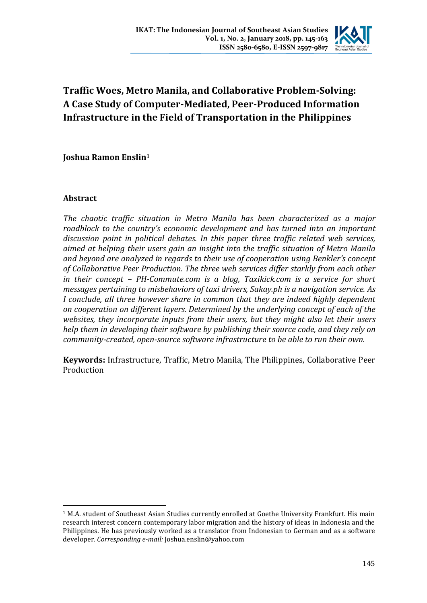

# **Traffic Woes, Metro Manila, and Collaborative Problem-Solving: A Case Study of Computer-Mediated, Peer-Produced Information Infrastructure in the Field of Transportation in the Philippines**

**Joshua Ramon Enslin1**

# **Abstract**

.

*The chaotic traffic situation in Metro Manila has been characterized as a major roadblock to the country's economic development and has turned into an important discussion point in political debates. In this paper three traffic related web services, aimed at helping their users gain an insight into the traffic situation of Metro Manila and beyond are analyzed in regards to their use of cooperation using Benkler's concept of Collaborative Peer Production. The three web services differ starkly from each other in their concept – PH-Commute.com is a blog, Taxikick.com is a service for short messages pertaining to misbehaviors of taxi drivers, Sakay.ph is a navigation service. As I conclude, all three however share in common that they are indeed highly dependent on cooperation on different layers. Determined by the underlying concept of each of the websites, they incorporate inputs from their users, but they might also let their users help them in developing their software by publishing their source code, and they rely on community-created, open-source software infrastructure to be able to run their own.*

**Keywords:** Infrastructure, Traffic, Metro Manila, The Philippines, Collaborative Peer Production

<sup>1</sup> M.A. student of Southeast Asian Studies currently enrolled at Goethe University Frankfurt. His main research interest concern contemporary labor migration and the history of ideas in Indonesia and the Philippines. He has previously worked as a translator from Indonesian to German and as a software developer. *Corresponding e-mail:* Joshua.enslin@yahoo.com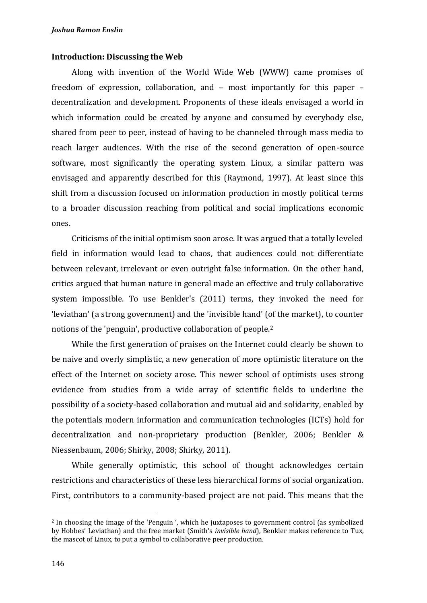#### **Introduction: Discussing the Web**

Along with invention of the World Wide Web (WWW) came promises of freedom of expression, collaboration, and – most importantly for this paper – decentralization and development. Proponents of these ideals envisaged a world in which information could be created by anyone and consumed by everybody else, shared from peer to peer, instead of having to be channeled through mass media to reach larger audiences. With the rise of the second generation of open-source software, most significantly the operating system Linux, a similar pattern was envisaged and apparently described for this (Raymond, 1997). At least since this shift from a discussion focused on information production in mostly political terms to a broader discussion reaching from political and social implications economic ones.

Criticisms of the initial optimism soon arose. It was argued that a totally leveled field in information would lead to chaos, that audiences could not differentiate between relevant, irrelevant or even outright false information. On the other hand, critics argued that human nature in general made an effective and truly collaborative system impossible. To use Benkler's (2011) terms, they invoked the need for 'leviathan' (a strong government) and the 'invisible hand' (of the market), to counter notions of the 'penguin', productive collaboration of people.2

While the first generation of praises on the Internet could clearly be shown to be naive and overly simplistic, a new generation of more optimistic literature on the effect of the Internet on society arose. This newer school of optimists uses strong evidence from studies from a wide array of scientific fields to underline the possibility of a society-based collaboration and mutual aid and solidarity, enabled by the potentials modern information and communication technologies (ICTs) hold for decentralization and non-proprietary production (Benkler, 2006; Benkler & Niessenbaum, 2006; Shirky, 2008; Shirky, 2011).

While generally optimistic, this school of thought acknowledges certain restrictions and characteristics of these less hierarchical forms of social organization. First, contributors to a community-based project are not paid. This means that the

<sup>2</sup> In choosing the image of the 'Penguin ', which he juxtaposes to government control (as symbolized by Hobbes' Leviathan) and the free market (Smith's *invisible hand*), Benkler makes reference to Tux, the mascot of Linux, to put a symbol to collaborative peer production.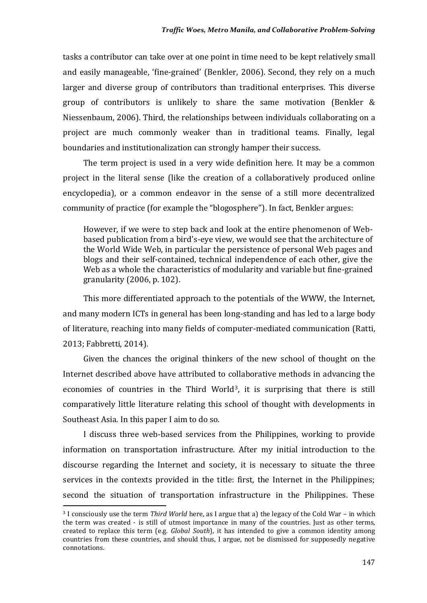tasks a contributor can take over at one point in time need to be kept relatively small and easily manageable, 'fine-grained' (Benkler, 2006). Second, they rely on a much larger and diverse group of contributors than traditional enterprises. This diverse group of contributors is unlikely to share the same motivation (Benkler & Niessenbaum, 2006). Third, the relationships between individuals collaborating on a project are much commonly weaker than in traditional teams. Finally, legal boundaries and institutionalization can strongly hamper their success.

The term project is used in a very wide definition here. It may be a common project in the literal sense (like the creation of a collaboratively produced online encyclopedia), or a common endeavor in the sense of a still more decentralized community of practice (for example the "blogosphere"). In fact, Benkler argues:

However, if we were to step back and look at the entire phenomenon of Webbased publication from a bird's-eye view, we would see that the architecture of the World Wide Web, in particular the persistence of personal Web pages and blogs and their self-contained, technical independence of each other, give the Web as a whole the characteristics of modularity and variable but fine-grained granularity (2006, p. 102).

This more differentiated approach to the potentials of the WWW, the Internet, and many modern ICTs in general has been long-standing and has led to a large body of literature, reaching into many fields of computer-mediated communication (Ratti, 2013; Fabbretti, 2014).

Given the chances the original thinkers of the new school of thought on the Internet described above have attributed to collaborative methods in advancing the economies of countries in the Third World3, it is surprising that there is still comparatively little literature relating this school of thought with developments in Southeast Asia. In this paper I aim to do so.

I discuss three web-based services from the Philippines, working to provide information on transportation infrastructure. After my initial introduction to the discourse regarding the Internet and society, it is necessary to situate the three services in the contexts provided in the title: first, the Internet in the Philippines; second the situation of transportation infrastructure in the Philippines. These

<sup>3</sup> I consciously use the term *Third World* here, as I argue that a) the legacy of the Cold War – in which the term was created - is still of utmost importance in many of the countries. Just as other terms, created to replace this term (e.g. *Global South*), it has intended to give a common identity among countries from these countries, and should thus, I argue, not be dismissed for supposedly negative connotations.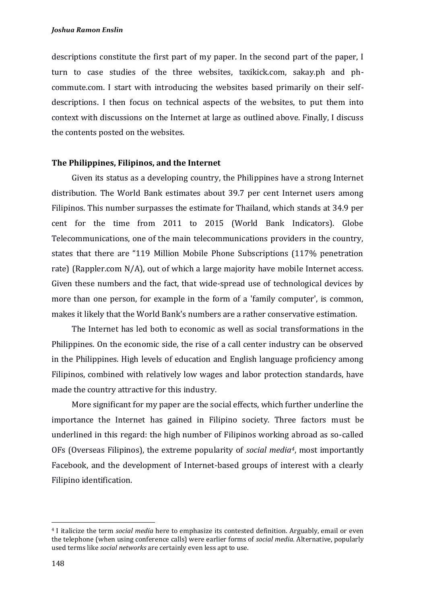descriptions constitute the first part of my paper. In the second part of the paper, I turn to case studies of the three websites, taxikick.com, sakay.ph and phcommute.com. I start with introducing the websites based primarily on their selfdescriptions. I then focus on technical aspects of the websites, to put them into context with discussions on the Internet at large as outlined above. Finally, I discuss the contents posted on the websites.

## **The Philippines, Filipinos, and the Internet**

Given its status as a developing country, the Philippines have a strong Internet distribution. The World Bank estimates about 39.7 per cent Internet users among Filipinos. This number surpasses the estimate for Thailand, which stands at 34.9 per cent for the time from 2011 to 2015 (World Bank Indicators). Globe Telecommunications, one of the main telecommunications providers in the country, states that there are "119 Million Mobile Phone Subscriptions (117% penetration rate) (Rappler.com  $N/A$ ), out of which a large majority have mobile Internet access. Given these numbers and the fact, that wide-spread use of technological devices by more than one person, for example in the form of a 'family computer', is common, makes it likely that the World Bank's numbers are a rather conservative estimation.

The Internet has led both to economic as well as social transformations in the Philippines. On the economic side, the rise of a call center industry can be observed in the Philippines. High levels of education and English language proficiency among Filipinos, combined with relatively low wages and labor protection standards, have made the country attractive for this industry.

More significant for my paper are the social effects, which further underline the importance the Internet has gained in Filipino society. Three factors must be underlined in this regard: the high number of Filipinos working abroad as so-called OFs (Overseas Filipinos), the extreme popularity of *social media4*, most importantly Facebook, and the development of Internet-based groups of interest with a clearly Filipino identification.

<sup>4</sup> I italicize the term *social media* here to emphasize its contested definition. Arguably, email or even the telephone (when using conference calls) were earlier forms of *social media.* Alternative, popularly used terms like *social networks* are certainly even less apt to use.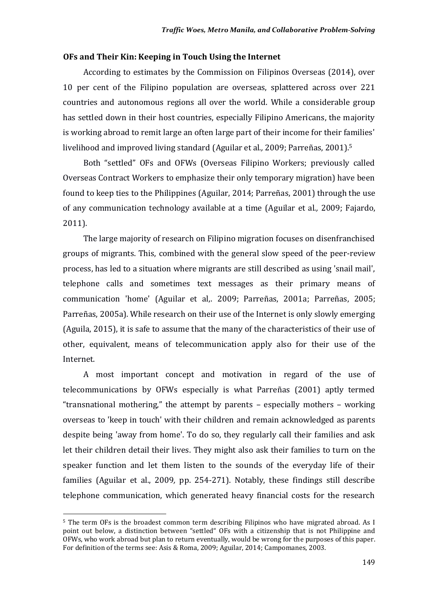## **OFs and Their Kin: Keeping in Touch Using the Internet**

According to estimates by the Commission on Filipinos Overseas (2014), over 10 per cent of the Filipino population are overseas, splattered across over 221 countries and autonomous regions all over the world. While a considerable group has settled down in their host countries, especially Filipino Americans, the majority is working abroad to remit large an often large part of their income for their families' livelihood and improved living standard (Aguilar et al*.,* 2009; Parreñas, 2001).5

Both "settled" OFs and OFWs (Overseas Filipino Workers; previously called Overseas Contract Workers to emphasize their only temporary migration) have been found to keep ties to the Philippines (Aguilar, 2014; Parreñas, 2001) through the use of any communication technology available at a time (Aguilar et al*.,* 2009; Fajardo, 2011).

The large majority of research on Filipino migration focuses on disenfranchised groups of migrants. This, combined with the general slow speed of the peer-review process, has led to a situation where migrants are still described as using 'snail mail', telephone calls and sometimes text messages as their primary means of communication 'home' (Aguilar et al,. 2009; Parreñas, 2001a; Parreñas, 2005; Parreñas, 2005a). While research on their use of the Internet is only slowly emerging (Aguila, 2015), it is safe to assume that the many of the characteristics of their use of other, equivalent, means of telecommunication apply also for their use of the Internet.

A most important concept and motivation in regard of the use of telecommunications by OFWs especially is what Parreñas (2001) aptly termed "transnational mothering," the attempt by parents – especially mothers – working overseas to 'keep in touch' with their children and remain acknowledged as parents despite being 'away from home'. To do so, they regularly call their families and ask let their children detail their lives. They might also ask their families to turn on the speaker function and let them listen to the sounds of the everyday life of their families (Aguilar et al., 2009*,* pp. 254-271). Notably, these findings still describe telephone communication, which generated heavy financial costs for the research

<sup>5</sup> The term OFs is the broadest common term describing Filipinos who have migrated abroad. As I point out below, a distinction between "settled" OFs with a citizenship that is not Philippine and OFWs, who work abroad but plan to return eventually, would be wrong for the purposes of this paper. For definition of the terms see: Asis & Roma, 2009; Aguilar, 2014; Campomanes, 2003.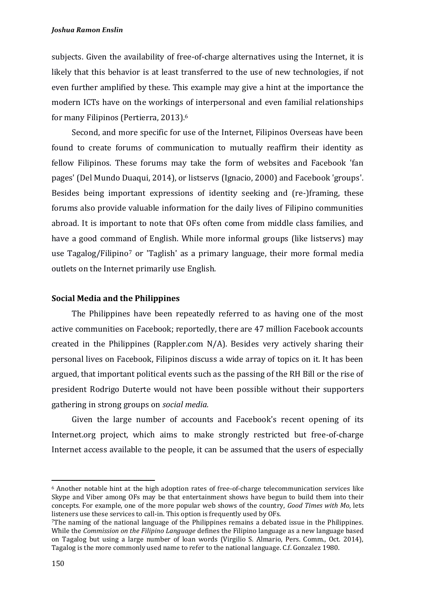#### *Joshua Ramon Enslin*

subjects. Given the availability of free-of-charge alternatives using the Internet, it is likely that this behavior is at least transferred to the use of new technologies, if not even further amplified by these. This example may give a hint at the importance the modern ICTs have on the workings of interpersonal and even familial relationships for many Filipinos (Pertierra, 2013).6

Second, and more specific for use of the Internet, Filipinos Overseas have been found to create forums of communication to mutually reaffirm their identity as fellow Filipinos. These forums may take the form of websites and Facebook 'fan pages' (Del Mundo Duaqui, 2014), or listservs (Ignacio, 2000) and Facebook 'groups'. Besides being important expressions of identity seeking and (re-)framing, these forums also provide valuable information for the daily lives of Filipino communities abroad. It is important to note that OFs often come from middle class families, and have a good command of English. While more informal groups (like listservs) may use Tagalog/Filipino<sup>7</sup> or 'Taglish' as a primary language, their more formal media outlets on the Internet primarily use English.

## **Social Media and the Philippines**

The Philippines have been repeatedly referred to as having one of the most active communities on Facebook; reportedly, there are 47 million Facebook accounts created in the Philippines (Rappler.com N/A). Besides very actively sharing their personal lives on Facebook, Filipinos discuss a wide array of topics on it. It has been argued, that important political events such as the passing of the RH Bill or the rise of president Rodrigo Duterte would not have been possible without their supporters gathering in strong groups on *social media.*

Given the large number of accounts and Facebook's recent opening of its Internet.org project, which aims to make strongly restricted but free-of-charge Internet access available to the people, it can be assumed that the users of especially

<sup>6</sup> Another notable hint at the high adoption rates of free-of-charge telecommunication services like Skype and Viber among OFs may be that entertainment shows have begun to build them into their concepts. For example, one of the more popular web shows of the country, *Good Times with Mo*, lets listeners use these services to call-in. This option is frequently used by OFs.

<sup>7</sup>The naming of the national language of the Philippines remains a debated issue in the Philippines. While the *Commission on the Filipino Language* defines the Filipino language as a new language based on Tagalog but using a large number of loan words (Virgilio S. Almario, Pers. Comm., Oct. 2014), Tagalog is the more commonly used name to refer to the national language. C.f. Gonzalez 1980.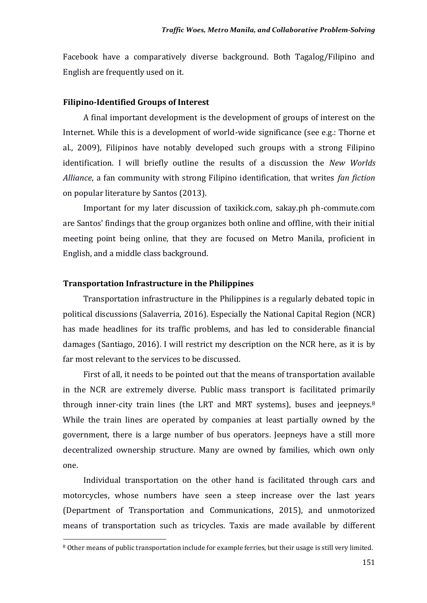Facebook have a comparatively diverse background. Both Tagalog/Filipino and English are frequently used on it.

#### **Filipino-Identified Groups of Interest**

A final important development is the development of groups of interest on the Internet. While this is a development of world-wide significance (see e.g.: Thorne et al., 2009), Filipinos have notably developed such groups with a strong Filipino identification. I will briefly outline the results of a discussion the *New Worlds Alliance*, a fan community with strong Filipino identification, that writes *fan fiction* on popular literature by Santos (2013).

Important for my later discussion of taxikick.com, sakay.ph ph-commute.com are Santos' findings that the group organizes both online and offline, with their initial meeting point being online, that they are focused on Metro Manila, proficient in English, and a middle class background.

### **Transportation Infrastructure in the Philippines**

.

Transportation infrastructure in the Philippines is a regularly debated topic in political discussions (Salaverria, 2016). Especially the National Capital Region (NCR) has made headlines for its traffic problems, and has led to considerable financial damages (Santiago, 2016). I will restrict my description on the NCR here, as it is by far most relevant to the services to be discussed.

First of all, it needs to be pointed out that the means of transportation available in the NCR are extremely diverse. Public mass transport is facilitated primarily through inner-city train lines (the LRT and MRT systems), buses and jeepneys.8 While the train lines are operated by companies at least partially owned by the government, there is a large number of bus operators. Jeepneys have a still more decentralized ownership structure. Many are owned by families, which own only one.

Individual transportation on the other hand is facilitated through cars and motorcycles, whose numbers have seen a steep increase over the last years (Department of Transportation and Communications, 2015), and unmotorized means of transportation such as tricycles. Taxis are made available by different

<sup>8</sup> Other means of public transportation include for example ferries, but their usage is still very limited.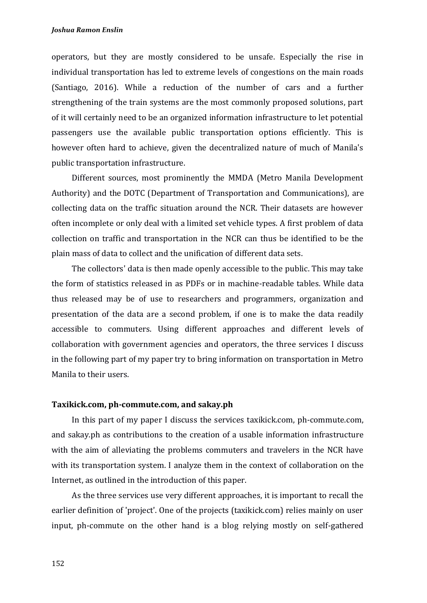operators, but they are mostly considered to be unsafe. Especially the rise in individual transportation has led to extreme levels of congestions on the main roads (Santiago, 2016). While a reduction of the number of cars and a further strengthening of the train systems are the most commonly proposed solutions, part of it will certainly need to be an organized information infrastructure to let potential passengers use the available public transportation options efficiently. This is however often hard to achieve, given the decentralized nature of much of Manila's public transportation infrastructure.

Different sources, most prominently the MMDA (Metro Manila Development Authority) and the DOTC (Department of Transportation and Communications), are collecting data on the traffic situation around the NCR. Their datasets are however often incomplete or only deal with a limited set vehicle types. A first problem of data collection on traffic and transportation in the NCR can thus be identified to be the plain mass of data to collect and the unification of different data sets.

The collectors' data is then made openly accessible to the public. This may take the form of statistics released in as PDFs or in machine-readable tables. While data thus released may be of use to researchers and programmers, organization and presentation of the data are a second problem, if one is to make the data readily accessible to commuters. Using different approaches and different levels of collaboration with government agencies and operators, the three services I discuss in the following part of my paper try to bring information on transportation in Metro Manila to their users.

# **Taxikick.com, ph-commute.com, and sakay.ph**

In this part of my paper I discuss the services taxikick.com, ph-commute.com, and sakay.ph as contributions to the creation of a usable information infrastructure with the aim of alleviating the problems commuters and travelers in the NCR have with its transportation system. I analyze them in the context of collaboration on the Internet, as outlined in the introduction of this paper.

As the three services use very different approaches, it is important to recall the earlier definition of 'project'. One of the projects (taxikick.com) relies mainly on user input, ph-commute on the other hand is a blog relying mostly on self-gathered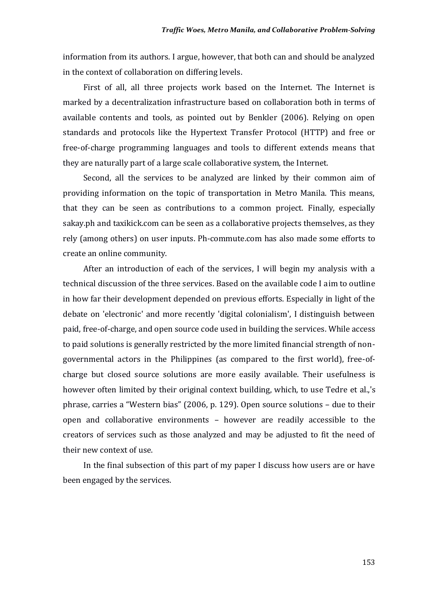information from its authors. I argue, however, that both can and should be analyzed in the context of collaboration on differing levels.

First of all, all three projects work based on the Internet. The Internet is marked by a decentralization infrastructure based on collaboration both in terms of available contents and tools, as pointed out by Benkler (2006). Relying on open standards and protocols like the Hypertext Transfer Protocol (HTTP) and free or free-of-charge programming languages and tools to different extends means that they are naturally part of a large scale collaborative system, the Internet.

Second, all the services to be analyzed are linked by their common aim of providing information on the topic of transportation in Metro Manila. This means, that they can be seen as contributions to a common project. Finally, especially sakay.ph and taxikick.com can be seen as a collaborative projects themselves, as they rely (among others) on user inputs. Ph-commute.com has also made some efforts to create an online community.

After an introduction of each of the services, I will begin my analysis with a technical discussion of the three services. Based on the available code I aim to outline in how far their development depended on previous efforts. Especially in light of the debate on 'electronic' and more recently 'digital colonialism', I distinguish between paid, free-of-charge, and open source code used in building the services. While access to paid solutions is generally restricted by the more limited financial strength of nongovernmental actors in the Philippines (as compared to the first world), free-ofcharge but closed source solutions are more easily available. Their usefulness is however often limited by their original context building, which, to use Tedre et al.,'s phrase, carries a "Western bias" (2006, p. 129). Open source solutions – due to their open and collaborative environments – however are readily accessible to the creators of services such as those analyzed and may be adjusted to fit the need of their new context of use.

In the final subsection of this part of my paper I discuss how users are or have been engaged by the services.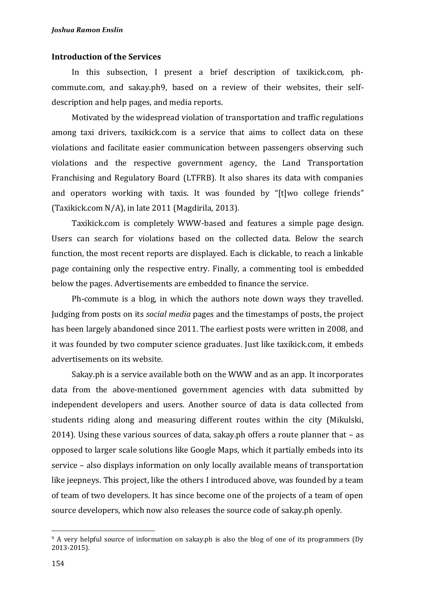#### **Introduction of the Services**

In this subsection, I present a brief description of taxikick.com, phcommute.com, and sakay.ph9, based on a review of their websites, their selfdescription and help pages, and media reports.

Motivated by the widespread violation of transportation and traffic regulations among taxi drivers, taxikick.com is a service that aims to collect data on these violations and facilitate easier communication between passengers observing such violations and the respective government agency, the Land Transportation Franchising and Regulatory Board (LTFRB). It also shares its data with companies and operators working with taxis. It was founded by "[t]wo college friends" (Taxikick.com N/A), in late 2011 (Magdirila, 2013).

Taxikick.com is completely WWW-based and features a simple page design. Users can search for violations based on the collected data. Below the search function, the most recent reports are displayed. Each is clickable, to reach a linkable page containing only the respective entry. Finally, a commenting tool is embedded below the pages. Advertisements are embedded to finance the service.

Ph-commute is a blog, in which the authors note down ways they travelled. Judging from posts on its *social media* pages and the timestamps of posts, the project has been largely abandoned since 2011. The earliest posts were written in 2008, and it was founded by two computer science graduates. Just like taxikick.com, it embeds advertisements on its website.

Sakay.ph is a service available both on the WWW and as an app. It incorporates data from the above-mentioned government agencies with data submitted by independent developers and users. Another source of data is data collected from students riding along and measuring different routes within the city (Mikulski, 2014). Using these various sources of data, sakay.ph offers a route planner that – as opposed to larger scale solutions like Google Maps, which it partially embeds into its service – also displays information on only locally available means of transportation like jeepneys. This project, like the others I introduced above, was founded by a team of team of two developers. It has since become one of the projects of a team of open source developers, which now also releases the source code of sakay.ph openly.

<sup>&</sup>lt;sup>9</sup> A very helpful source of information on sakay.ph is also the blog of one of its programmers (Dy 2013-2015).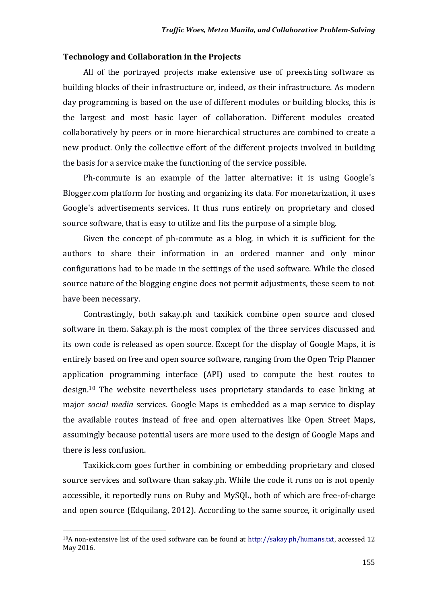#### **Technology and Collaboration in the Projects**

All of the portrayed projects make extensive use of preexisting software as building blocks of their infrastructure or, indeed, *as* their infrastructure. As modern day programming is based on the use of different modules or building blocks, this is the largest and most basic layer of collaboration. Different modules created collaboratively by peers or in more hierarchical structures are combined to create a new product. Only the collective effort of the different projects involved in building the basis for a service make the functioning of the service possible.

Ph-commute is an example of the latter alternative: it is using Google's Blogger.com platform for hosting and organizing its data. For monetarization, it uses Google's advertisements services. It thus runs entirely on proprietary and closed source software, that is easy to utilize and fits the purpose of a simple blog.

Given the concept of ph-commute as a blog, in which it is sufficient for the authors to share their information in an ordered manner and only minor configurations had to be made in the settings of the used software. While the closed source nature of the blogging engine does not permit adjustments, these seem to not have been necessary.

Contrastingly, both sakay.ph and taxikick combine open source and closed software in them. Sakay.ph is the most complex of the three services discussed and its own code is released as open source. Except for the display of Google Maps, it is entirely based on free and open source software, ranging from the Open Trip Planner application programming interface (API) used to compute the best routes to design.10 The website nevertheless uses proprietary standards to ease linking at major *social media* services. Google Maps is embedded as a map service to display the available routes instead of free and open alternatives like Open Street Maps, assumingly because potential users are more used to the design of Google Maps and there is less confusion.

Taxikick.com goes further in combining or embedding proprietary and closed source services and software than sakay.ph. While the code it runs on is not openly accessible, it reportedly runs on Ruby and MySQL, both of which are free-of-charge and open source (Edquilang, 2012). According to the same source, it originally used

<sup>10</sup>A non-extensive list of the used software can be found at [http://sakay.ph/humans.txt,](http://sakay.ph/humans.txt) accessed 12 May 2016.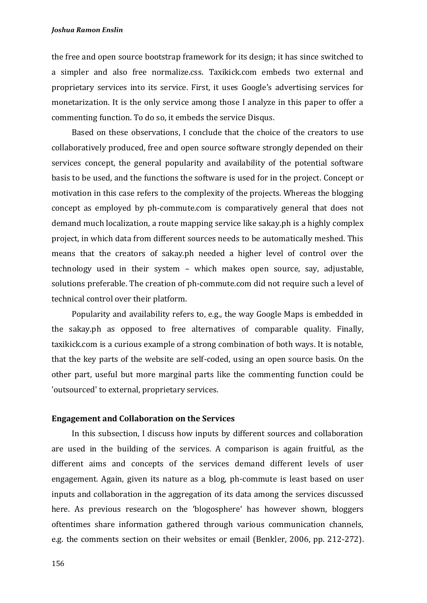the free and open source bootstrap framework for its design; it has since switched to a simpler and also free normalize.css. Taxikick.com embeds two external and proprietary services into its service. First, it uses Google's advertising services for monetarization. It is the only service among those I analyze in this paper to offer a commenting function. To do so, it embeds the service Disqus.

Based on these observations, I conclude that the choice of the creators to use collaboratively produced, free and open source software strongly depended on their services concept, the general popularity and availability of the potential software basis to be used, and the functions the software is used for in the project. Concept or motivation in this case refers to the complexity of the projects. Whereas the blogging concept as employed by ph-commute.com is comparatively general that does not demand much localization, a route mapping service like sakay.ph is a highly complex project, in which data from different sources needs to be automatically meshed. This means that the creators of sakay.ph needed a higher level of control over the technology used in their system – which makes open source, say, adjustable, solutions preferable. The creation of ph-commute.com did not require such a level of technical control over their platform.

Popularity and availability refers to, e.g., the way Google Maps is embedded in the sakay.ph as opposed to free alternatives of comparable quality. Finally, taxikick.com is a curious example of a strong combination of both ways. It is notable, that the key parts of the website are self-coded, using an open source basis. On the other part, useful but more marginal parts like the commenting function could be 'outsourced' to external, proprietary services.

## **Engagement and Collaboration on the Services**

In this subsection, I discuss how inputs by different sources and collaboration are used in the building of the services. A comparison is again fruitful, as the different aims and concepts of the services demand different levels of user engagement. Again, given its nature as a blog, ph-commute is least based on user inputs and collaboration in the aggregation of its data among the services discussed here. As previous research on the 'blogosphere' has however shown, bloggers oftentimes share information gathered through various communication channels, e.g. the comments section on their websites or email (Benkler, 2006, pp. 212-272).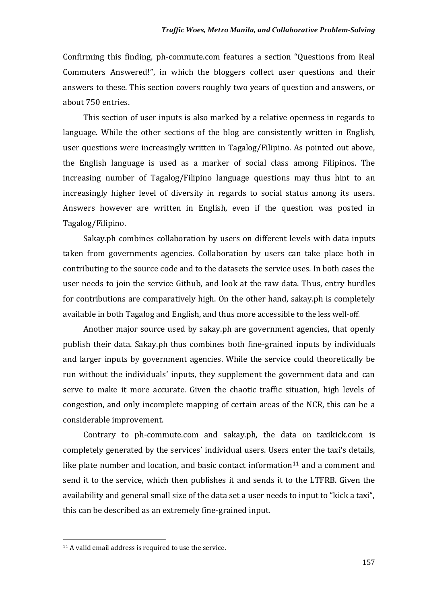Confirming this finding, ph-commute.com features a section "Questions from Real Commuters Answered!", in which the bloggers collect user questions and their answers to these. This section covers roughly two years of question and answers, or about 750 entries.

This section of user inputs is also marked by a relative openness in regards to language. While the other sections of the blog are consistently written in English, user questions were increasingly written in Tagalog/Filipino. As pointed out above, the English language is used as a marker of social class among Filipinos. The increasing number of Tagalog/Filipino language questions may thus hint to an increasingly higher level of diversity in regards to social status among its users. Answers however are written in English, even if the question was posted in Tagalog/Filipino.

Sakay.ph combines collaboration by users on different levels with data inputs taken from governments agencies. Collaboration by users can take place both in contributing to the source code and to the datasets the service uses. In both cases the user needs to join the service Github, and look at the raw data. Thus, entry hurdles for contributions are comparatively high. On the other hand, sakay.ph is completely available in both Tagalog and English, and thus more accessible to the less well-off.

Another major source used by sakay.ph are government agencies, that openly publish their data. Sakay.ph thus combines both fine-grained inputs by individuals and larger inputs by government agencies. While the service could theoretically be run without the individuals' inputs, they supplement the government data and can serve to make it more accurate. Given the chaotic traffic situation, high levels of congestion, and only incomplete mapping of certain areas of the NCR, this can be a considerable improvement.

Contrary to ph-commute.com and sakay.ph, the data on taxikick.com is completely generated by the services' individual users. Users enter the taxi's details, like plate number and location, and basic contact information<sup>11</sup> and a comment and send it to the service, which then publishes it and sends it to the LTFRB. Given the availability and general small size of the data set a user needs to input to "kick a taxi", this can be described as an extremely fine-grained input.

<sup>11</sup> A valid email address is required to use the service.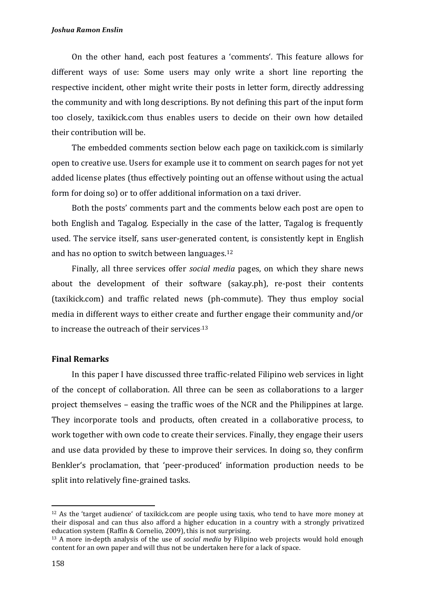On the other hand, each post features a 'comments'. This feature allows for different ways of use: Some users may only write a short line reporting the respective incident, other might write their posts in letter form, directly addressing the community and with long descriptions. By not defining this part of the input form too closely, taxikick.com thus enables users to decide on their own how detailed their contribution will be.

The embedded comments section below each page on taxikick.com is similarly open to creative use. Users for example use it to comment on search pages for not yet added license plates (thus effectively pointing out an offense without using the actual form for doing so) or to offer additional information on a taxi driver.

Both the posts' comments part and the comments below each post are open to both English and Tagalog. Especially in the case of the latter, Tagalog is frequently used. The service itself, sans user-generated content, is consistently kept in English and has no option to switch between languages.12

Finally, all three services offer *social media* pages, on which they share news about the development of their software (sakay.ph), re-post their contents (taxikick.com) and traffic related news (ph-commute). They thus employ social media in different ways to either create and further engage their community and/or to increase the outreach of their services.<sup>13</sup>

## **Final Remarks**

In this paper I have discussed three traffic-related Filipino web services in light of the concept of collaboration. All three can be seen as collaborations to a larger project themselves – easing the traffic woes of the NCR and the Philippines at large. They incorporate tools and products, often created in a collaborative process, to work together with own code to create their services. Finally, they engage their users and use data provided by these to improve their services. In doing so, they confirm Benkler's proclamation, that 'peer-produced' information production needs to be split into relatively fine-grained tasks.

<sup>&</sup>lt;sup>12</sup> As the 'target audience' of taxikick.com are people using taxis, who tend to have more money at their disposal and can thus also afford a higher education in a country with a strongly privatized education system (Raffin & Cornelio, 2009), this is not surprising. 13 A more in-depth analysis of the use of *social media* by Filipino web projects would hold enough

content for an own paper and will thus not be undertaken here for a lack of space.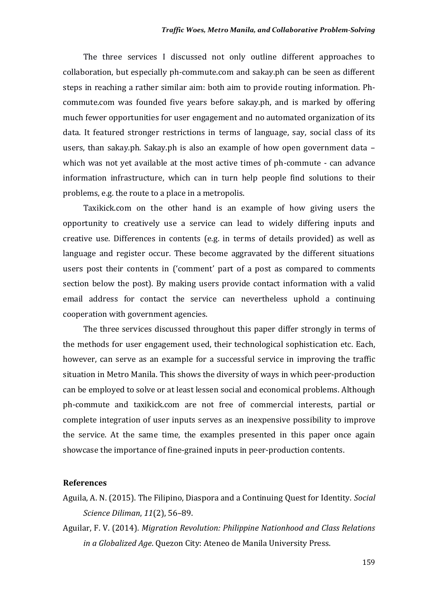The three services I discussed not only outline different approaches to collaboration, but especially ph-commute.com and sakay.ph can be seen as different steps in reaching a rather similar aim: both aim to provide routing information. Phcommute.com was founded five years before sakay.ph, and is marked by offering much fewer opportunities for user engagement and no automated organization of its data. It featured stronger restrictions in terms of language, say, social class of its users, than sakay.ph. Sakay.ph is also an example of how open government data – which was not yet available at the most active times of ph-commute - can advance information infrastructure, which can in turn help people find solutions to their problems, e.g. the route to a place in a metropolis.

Taxikick.com on the other hand is an example of how giving users the opportunity to creatively use a service can lead to widely differing inputs and creative use. Differences in contents (e.g. in terms of details provided) as well as language and register occur. These become aggravated by the different situations users post their contents in ('comment' part of a post as compared to comments section below the post). By making users provide contact information with a valid email address for contact the service can nevertheless uphold a continuing cooperation with government agencies.

The three services discussed throughout this paper differ strongly in terms of the methods for user engagement used, their technological sophistication etc. Each, however, can serve as an example for a successful service in improving the traffic situation in Metro Manila. This shows the diversity of ways in which peer-production can be employed to solve or at least lessen social and economical problems. Although ph-commute and taxikick.com are not free of commercial interests, partial or complete integration of user inputs serves as an inexpensive possibility to improve the service. At the same time, the examples presented in this paper once again showcase the importance of fine-grained inputs in peer-production contents.

## **References**

- Aguila, A. N. (2015). The Filipino, Diaspora and a Continuing Quest for Identity. *Social Science Diliman*, *11*(2), 56–89.
- Aguilar, F. V. (2014). *Migration Revolution: Philippine Nationhood and Class Relations in a Globalized Age*. Quezon City: Ateneo de Manila University Press.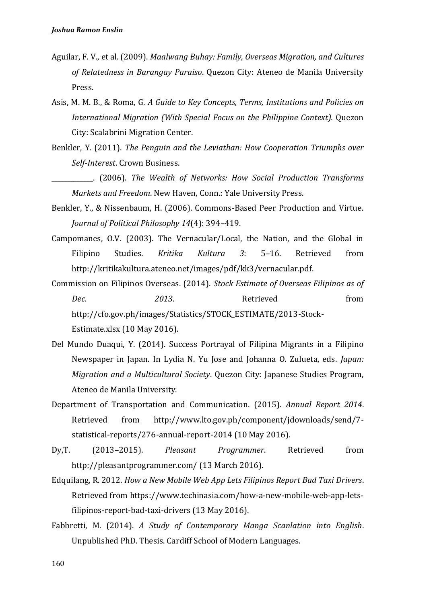- Aguilar, F. V., et al. (2009). *Maalwang Buhay: Family, Overseas Migration, and Cultures of Relatedness in Barangay Paraiso*. Quezon City: Ateneo de Manila University Press.
- Asis, M. M. B., & Roma, G. *A Guide to Key Concepts, Terms, Institutions and Policies on International Migration (With Special Focus on the Philippine Context).* Quezon City: Scalabrini Migration Center.
- Benkler, Y. (2011). *The Penguin and the Leviathan: How Cooperation Triumphs over Self-Interest*. Crown Business.
- \_\_\_\_\_\_\_\_\_\_\_\_\_. (2006). *The Wealth of Networks: How Social Production Transforms Markets and Freedom*. New Haven, Conn.: Yale University Press.
- Benkler, Y., & Nissenbaum, H. (2006). Commons-Based Peer Production and Virtue. *Journal of Political Philosophy 14*(4): 394–419.
- Campomanes, O.V. (2003). The Vernacular/Local, the Nation, and the Global in Filipino Studies. *Kritika Kultura 3*: 5–16. Retrieved from http://kritikakultura.ateneo.net/images/pdf/kk3/vernacular.pdf.
- Commission on Filipinos Overseas. (2014). *Stock Estimate of Overseas Filipinos as of Dec.* 2013. Retrieved from http://cfo.gov.ph/images/Statistics/STOCK\_ESTIMATE/2013-Stock-Estimate.xlsx (10 May 2016).
- Del Mundo Duaqui, Y. (2014). Success Portrayal of Filipina Migrants in a Filipino Newspaper in Japan. In Lydia N. Yu Jose and Johanna O. Zulueta, eds. *Japan: Migration and a Multicultural Society*. Quezon City: Japanese Studies Program, Ateneo de Manila University.
- Department of Transportation and Communication. (2015). *Annual Report 2014*. Retrieved from [http://www.lto.gov.ph/component/jdownloads/send/7](http://www.lto.gov.ph/component/jdownloads/send/7-statistical-reports/276-annual-report-2014) [statistical-reports/276-annual-report-2014](http://www.lto.gov.ph/component/jdownloads/send/7-statistical-reports/276-annual-report-2014) (10 May 2016).
- Dy,T. (2013–2015). *Pleasant Programmer*. Retrieved from <http://pleasantprogrammer.com/> (13 March 2016).
- Edquilang, R. 2012. *How a New Mobile Web App Lets Filipinos Report Bad Taxi Drivers*. Retrieved from [https://www.techinasia.com/how-a-new-mobile-web-app-lets](https://www.techinasia.com/how-a-new-mobile-web-app-lets-filipinos-report-bad-taxi-drivers)[filipinos-report-bad-taxi-drivers](https://www.techinasia.com/how-a-new-mobile-web-app-lets-filipinos-report-bad-taxi-drivers) (13 May 2016).
- Fabbretti, M. (2014). *A Study of Contemporary Manga Scanlation into English*. Unpublished PhD. Thesis. Cardiff School of Modern Languages.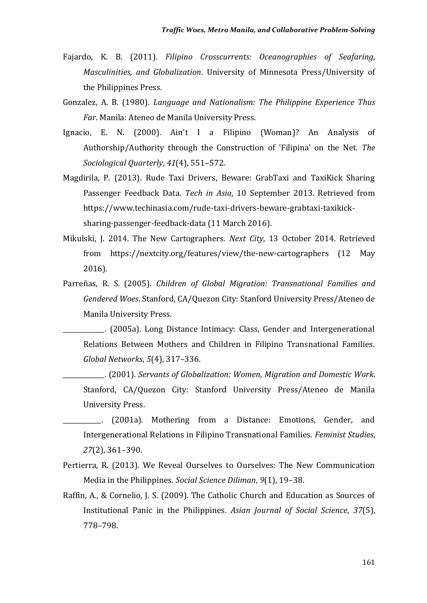- Fajardo, K. B. (2011). *Filipino Crosscurrents: Oceanographies of Seafaring, Masculinities, and Globalization*. University of Minnesota Press/University of the Philippines Press.
- Gonzalez, A. B. (1980). *Language and Nationalism: The Philippine Experience Thus Far*. Manila: Ateneo de Manila University Press.
- Ignacio, E. N. (2000). Ain't I a Filipino (Woman)? An Analysis of Authorship/Authority through the Construction of 'Filipina' on the Net. *The Sociological Quarterly*, *41*(4), 551–572.
- Magdirila, P. (2013). Rude Taxi Drivers, Beware: GrabTaxi and TaxiKick Sharing Passenger Feedback Data. *Tech in Asia*, 10 September 2013. Retrieved from [https://www.techinasia.com/rude-taxi-drivers-beware-grabtaxi-taxikick](https://www.techinasia.com/rude-taxi-drivers-beware-grabtaxi-taxikick-sharing-passenger-feedback-data)[sharing-passenger-feedback-data](https://www.techinasia.com/rude-taxi-drivers-beware-grabtaxi-taxikick-sharing-passenger-feedback-data) (11 March 2016).
- Mikulski, J. 2014. The New Cartographers. *Next City*, 13 October 2014. Retrieved from <https://nextcity.org/features/view/the-new-cartographers> (12 May 2016).
- Parreñas, R. S. (2005). *Children of Global Migration: Transnational Families and Gendered Woes*. Stanford, CA/Quezon City: Stanford University Press/Ateneo de Manila University Press.
	- \_\_\_\_\_\_\_\_\_\_\_\_\_. (2005a). Long Distance Intimacy: Class, Gender and Intergenerational Relations Between Mothers and Children in Filipino Transnational Families. *Global Networks*, *5*(4), 317–336.
	- \_\_\_\_\_\_\_\_\_\_\_\_\_. (2001). *Servants of Globalization: Women, Migration and Domestic Work*. Stanford, CA/Quezon City: Stanford University Press/Ateneo de Manila University Press.
	- \_\_\_\_\_\_\_\_\_\_\_\_. (2001a). Mothering from a Distance: Emotions, Gender, and Intergenerational Relations in Filipino Transnational Families. *Feminist Studies*, *27*(2), 361–390.
- Pertierra, R. (2013). We Reveal Ourselves to Ourselves: The New Communication Media in the Philippines. *Social Science Diliman*, *9*(1), 19–38.
- Raffin, A., & Cornelio, J. S. (2009). The Catholic Church and Education as Sources of Institutional Panic in the Philippines. *Asian Journal of Social Science*, *37*(5), 778–798.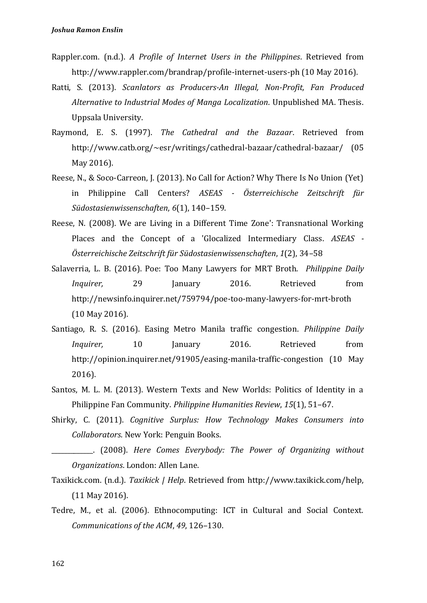- Rappler.com. (n.d.). *A Profile of Internet Users in the Philippines*. Retrieved from http://www.rappler.com/brandrap/profile-internet-users-ph (10 May 2016).
- Ratti, S. (2013). *Scanlators as Producers-An Illegal, Non-Profit, Fan Produced Alternative to Industrial Modes of Manga Localization*. Unpublished MA. Thesis. Uppsala University.
- Raymond, E. S. (1997). *The Cathedral and the Bazaar*. Retrieved from <http://www.catb.org/~esr/writings/cathedral-bazaar/cathedral-bazaar/> (05 May 2016).
- Reese, N., & Soco-Carreon, J. (2013). No Call for Action? Why There Is No Union (Yet) in Philippine Call Centers? *ASEAS - Österreichische Zeitschrift für Südostasienwissenschaften*, *6*(1), 140–159.
- Reese, N. (2008). We are Living in a Different Time Zone': Transnational Working Places and the Concept of a 'Glocalized Intermediary Class. *ASEAS - Österreichische Zeitschrift für Südostasienwissenschaften*, *1*(2), 34–58
- Salaverria, L. B. (2016). Poe: Too Many Lawyers for MRT Broth. *Philippine Daily Inquirer,* 29 January 2016. Retrieved from <http://newsinfo.inquirer.net/759794/poe-too-many-lawyers-for-mrt-broth> (10 May 2016).
- Santiago, R. S. (2016). Easing Metro Manila traffic congestion. *Philippine Daily Inquirer,* 10 Ianuary 2016. Retrieved from <http://opinion.inquirer.net/91905/easing-manila-traffic-congestion> (10 May 2016).
- Santos, M. L. M. (2013). Western Texts and New Worlds: Politics of Identity in a Philippine Fan Community. *Philippine Humanities Review*, *15*(1), 51–67.
- Shirky, C. (2011). *Cognitive Surplus: How Technology Makes Consumers into Collaborators*. New York: Penguin Books.
- \_\_\_\_\_\_\_\_\_\_\_\_\_. (2008). *Here Comes Everybody: The Power of Organizing without Organizations*. London: Allen Lane.
- Taxikick.com. (n.d.). *Taxikick | Help*. Retrieved from [http://www.taxikick.com/help,](http://www.taxikick.com/help) (11 May 2016).
- Tedre, M., et al. (2006). Ethnocomputing: ICT in Cultural and Social Context. *Communications of the ACM*, *49*, 126–130.